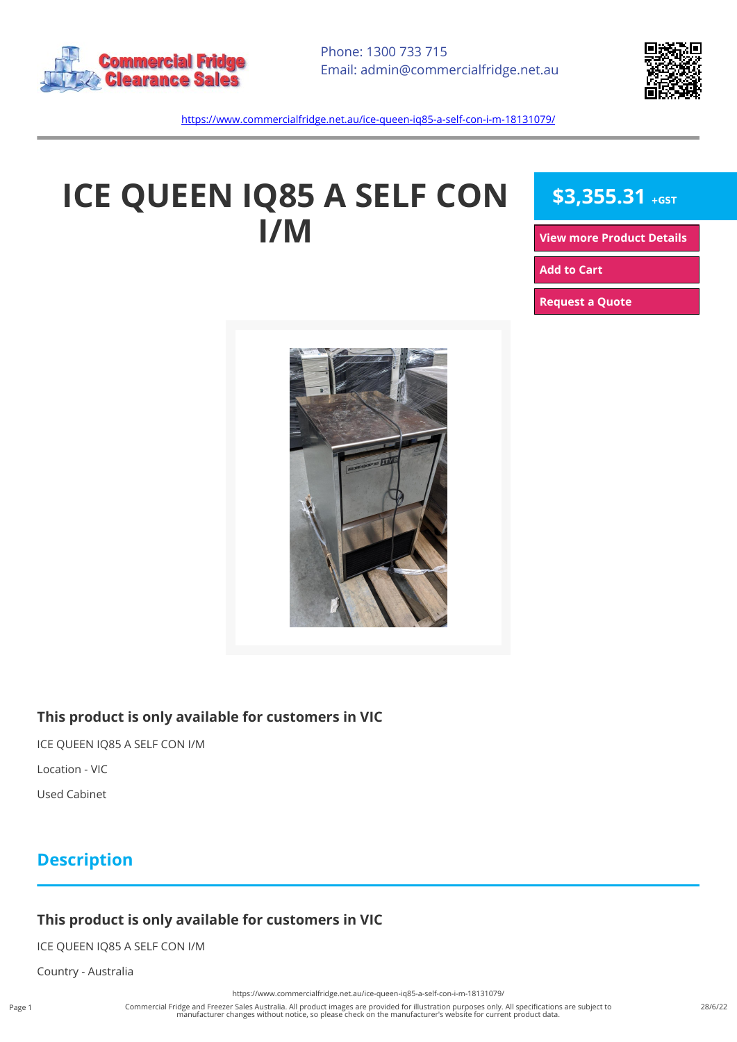



<https://www.commercialfridge.net.au/ice-queen-iq85-a-self-con-i-m-18131079/>

# **ICE QUEEN IQ85 A SELF CON I/M**

## **\$3,355.31 +GST**

**[View more Product Details](https://www.commercialfridge.net.au/ice-queen-iq85-a-self-con-i-m-18131079/)**

**[Add to Cart](https://www.commercialfridge.net.au/ice-queen-iq85-a-self-con-i-m-18131079/?addtocart=1)** 

**[Request a Quote](https://www.commercialfridge.net.au/ice-queen-iq85-a-self-con-i-m-18131079/?requestaquote=1)** 



#### **This product is only available for customers in VIC**

ICE QUEEN IQ85 A SELF CON I/M

Location - VIC

Used Cabinet

#### **Description**

#### **This product is only available for customers in VIC**

ICE QUEEN IQ85 A SELF CON I/M

Country - Australia

<https://www.commercialfridge.net.au/ice-queen-iq85-a-self-con-i-m-18131079/>

Commercial Fridge and Freezer Sales Australia. All product images are provided for illustration purposes only. All specifications are subject to manufacturer changes without notice, so please check on the manufacturer's website for current product data.